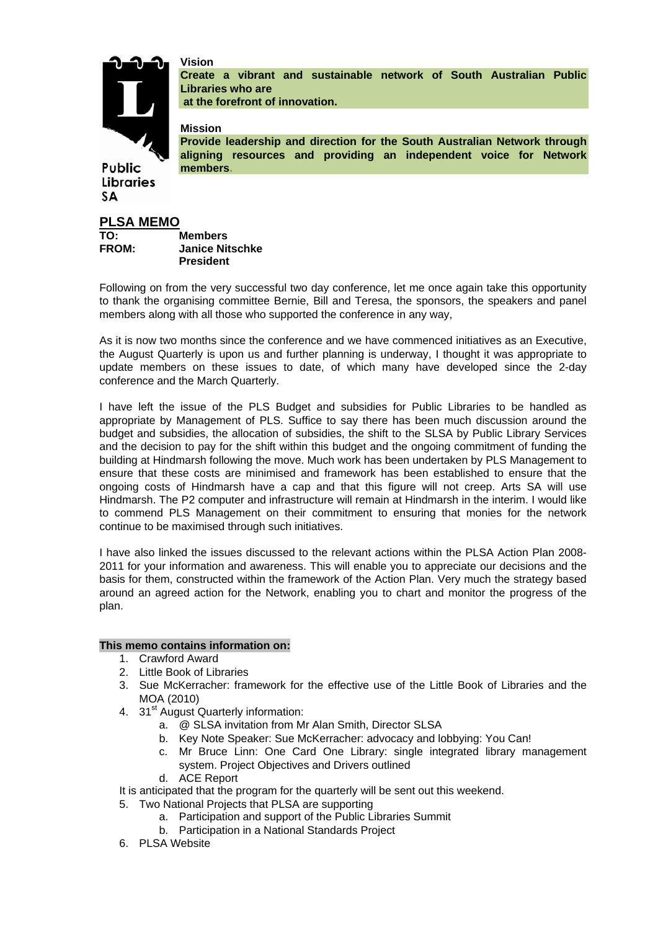# **Vision**



**Create a vibrant and sustainable network of South Australian Public Libraries who are at the forefront of innovation.** 

**Mission** 

**Provide leadership and direction for the South Australian Network through aligning resources and providing an independent voice for Network members.** 

# **PLSA MEMO**

**Libraries** 

SΑ

**TO: Members Janice Nitschke President** 

Following on from the very successful two day conference, let me once again take this opportunity to thank the organising committee Bernie, Bill and Teresa, the sponsors, the speakers and panel members along with all those who supported the conference in any way,

As it is now two months since the conference and we have commenced initiatives as an Executive, the August Quarterly is upon us and further planning is underway, I thought it was appropriate to update members on these issues to date, of which many have developed since the 2-day conference and the March Quarterly.

I have left the issue of the PLS Budget and subsidies for Public Libraries to be handled as appropriate by Management of PLS. Suffice to say there has been much discussion around the budget and subsidies, the allocation of subsidies, the shift to the SLSA by Public Library Services and the decision to pay for the shift within this budget and the ongoing commitment of funding the building at Hindmarsh following the move. Much work has been undertaken by PLS Management to ensure that these costs are minimised and framework has been established to ensure that the ongoing costs of Hindmarsh have a cap and that this figure will not creep. Arts SA will use Hindmarsh. The P2 computer and infrastructure will remain at Hindmarsh in the interim. I would like to commend PLS Management on their commitment to ensuring that monies for the network continue to be maximised through such initiatives.

I have also linked the issues discussed to the relevant actions within the PLSA Action Plan 2008- 2011 for your information and awareness. This will enable you to appreciate our decisions and the basis for them, constructed within the framework of the Action Plan. Very much the strategy based around an agreed action for the Network, enabling you to chart and monitor the progress of the plan.

### **This memo contains information on:**

- 1. Crawford Award
- 2. Little Book of Libraries
- 3. Sue McKerracher: framework for the effective use of the Little Book of Libraries and the MOA (2010)
- 4. 31<sup>st</sup> August Quarterly information:
	- a. @ SLSA invitation from Mr Alan Smith, Director SLSA
	- b. Key Note Speaker: Sue McKerracher: advocacy and lobbying: You Can!
	- c. Mr Bruce Linn: One Card One Library: single integrated library management system. Project Objectives and Drivers outlined
	- d. ACE Report
- It is anticipated that the program for the quarterly will be sent out this weekend.
- 5. Two National Projects that PLSA are supporting
	- a. Participation and support of the Public Libraries Summit
	- b. Participation in a National Standards Project
- 6. PLSA Website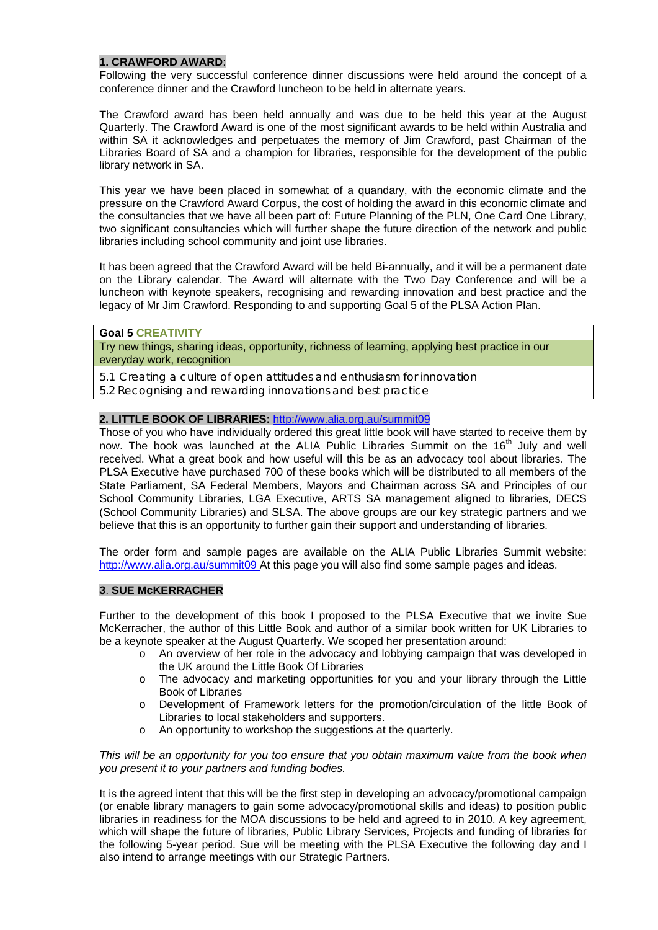#### **1. CRAWFORD AWARD**:

Following the very successful conference dinner discussions were held around the concept of a conference dinner and the Crawford luncheon to be held in alternate years.

The Crawford award has been held annually and was due to be held this year at the August Quarterly. The Crawford Award is one of the most significant awards to be held within Australia and within SA it acknowledges and perpetuates the memory of Jim Crawford, past Chairman of the Libraries Board of SA and a champion for libraries, responsible for the development of the public library network in SA.

This year we have been placed in somewhat of a quandary, with the economic climate and the pressure on the Crawford Award Corpus, the cost of holding the award in this economic climate and the consultancies that we have all been part of: Future Planning of the PLN, One Card One Library, two significant consultancies which will further shape the future direction of the network and public libraries including school community and joint use libraries.

It has been agreed that the Crawford Award will be held Bi-annually, and it will be a permanent date on the Library calendar. The Award will alternate with the Two Day Conference and will be a luncheon with keynote speakers, recognising and rewarding innovation and best practice and the legacy of Mr Jim Crawford. Responding to and supporting Goal 5 of the PLSA Action Plan.

#### **Goal 5 CREATIVITY**

Try new things, sharing ideas, opportunity, richness of learning, applying best practice in our everyday work, recognition

5.1 Creating a culture of open attitudes and enthusiasm for innovation

5.2 Recognising and rewarding innovations and best practice

# **2. LITTLE BOOK OF LIBRARIES:** http://www.alia.org.au/summit09

Those of you who have individually ordered this great little book will have started to receive them by now. The book was launched at the ALIA Public Libraries Summit on the  $16<sup>th</sup>$  July and well received. What a great book and how useful will this be as an advocacy tool about libraries. The PLSA Executive have purchased 700 of these books which will be distributed to all members of the State Parliament, SA Federal Members, Mayors and Chairman across SA and Principles of our School Community Libraries, LGA Executive, ARTS SA management aligned to libraries, DECS (School Community Libraries) and SLSA. The above groups are our key strategic partners and we believe that this is an opportunity to further gain their support and understanding of libraries.

The order form and sample pages are available on the ALIA Public Libraries Summit website: http://www.alia.org.au/summit09 At this page you will also find some sample pages and ideas.

#### **3**. **SUE McKERRACHER**

Further to the development of this book I proposed to the PLSA Executive that we invite Sue McKerracher, the author of this Little Book and author of a similar book written for UK Libraries to be a keynote speaker at the August Quarterly. We scoped her presentation around:

- o An overview of her role in the advocacy and lobbying campaign that was developed in the UK around the Little Book Of Libraries
- o The advocacy and marketing opportunities for you and your library through the Little Book of Libraries
- o Development of Framework letters for the promotion/circulation of the little Book of Libraries to local stakeholders and supporters.
- o An opportunity to workshop the suggestions at the quarterly.

*This will be an opportunity for you too ensure that you obtain maximum value from the book when you present it to your partners and funding bodies.* 

It is the agreed intent that this will be the first step in developing an advocacy/promotional campaign (or enable library managers to gain some advocacy/promotional skills and ideas) to position public libraries in readiness for the MOA discussions to be held and agreed to in 2010. A key agreement, which will shape the future of libraries, Public Library Services, Projects and funding of libraries for the following 5-year period. Sue will be meeting with the PLSA Executive the following day and I also intend to arrange meetings with our Strategic Partners.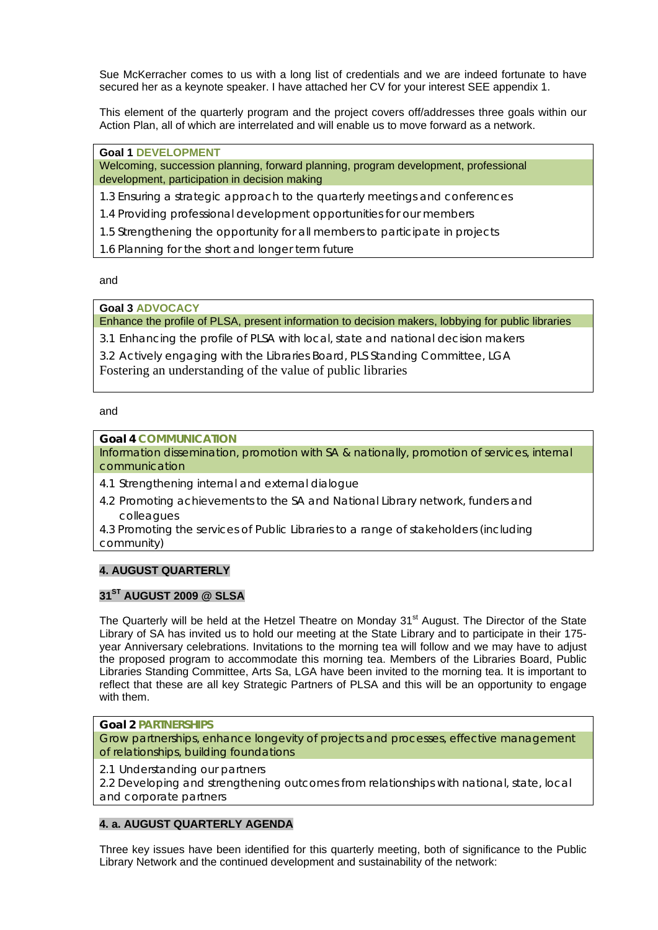Sue McKerracher comes to us with a long list of credentials and we are indeed fortunate to have secured her as a keynote speaker. I have attached her CV for your interest SEE appendix 1.

This element of the quarterly program and the project covers off/addresses three goals within our Action Plan, all of which are interrelated and will enable us to move forward as a network.

**Goal 1 DEVELOPMENT**

Welcoming, succession planning, forward planning, program development, professional development, participation in decision making

1.3 Ensuring a strategic approach to the quarterly meetings and conferences

1.4 Providing professional development opportunities for our members

1.5 Strengthening the opportunity for all members to participate in projects

1.6 Planning for the short and longer term future

and

**Goal 3 ADVOCACY**

Enhance the profile of PLSA, present information to decision makers, lobbying for public libraries

3.1 Enhancing the profile of PLSA with local, state and national decision makers

3.2 Actively engaging with the Libraries Board, PLS Standing Committee, LGA

Fostering an understanding of the value of public libraries

#### and

**Goal 4 COMMUNICATION**

Information dissemination, promotion with SA & nationally, promotion of services, internal communication

4.1 Strengthening internal and external dialogue

4.2 Promoting achievements to the SA and National Library network, funders and colleagues

4.3 Promoting the services of Public Libraries to a range of stakeholders (including community)

### **4. AUGUST QUARTERLY**

### **31ST AUGUST 2009 @ SLSA**

The Quarterly will be held at the Hetzel Theatre on Monday 31<sup>st</sup> August. The Director of the State Library of SA has invited us to hold our meeting at the State Library and to participate in their 175 year Anniversary celebrations. Invitations to the morning tea will follow and we may have to adjust the proposed program to accommodate this morning tea. Members of the Libraries Board, Public Libraries Standing Committee, Arts Sa, LGA have been invited to the morning tea. It is important to reflect that these are all key Strategic Partners of PLSA and this will be an opportunity to engage with them.

#### **Goal 2 PARTNERSHIPS**

Grow partnerships, enhance longevity of projects and processes, effective management of relationships, building foundations

2.1 Understanding our partners

2.2 Developing and strengthening outcomes from relationships with national, state, local and corporate partners

## **4. a. AUGUST QUARTERLY AGENDA**

Three key issues have been identified for this quarterly meeting, both of significance to the Public Library Network and the continued development and sustainability of the network: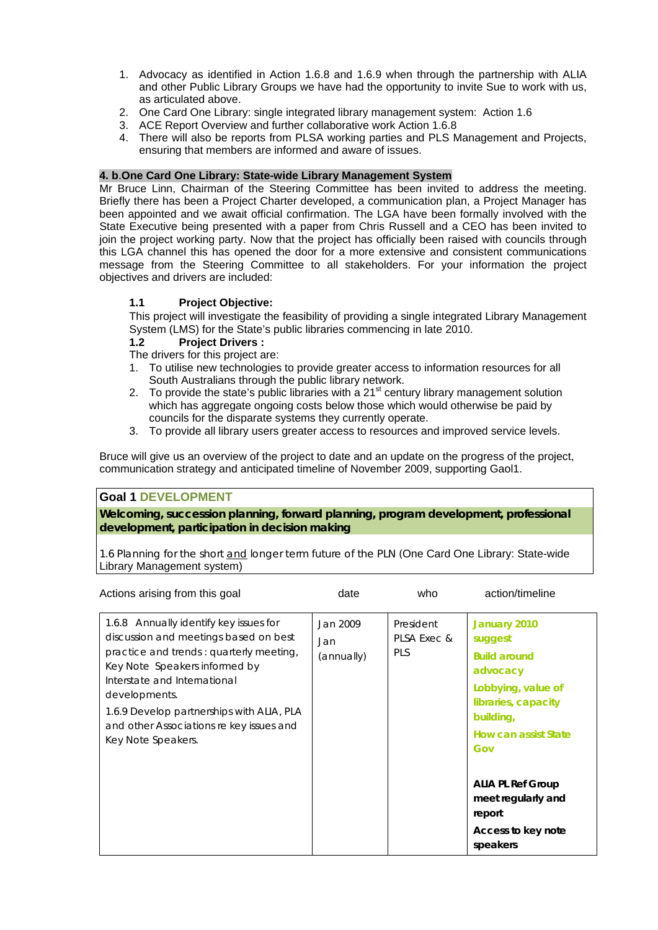- 1. Advocacy as identified in Action 1.6.8 and 1.6.9 when through the partnership with ALIA and other Public Library Groups we have had the opportunity to invite Sue to work with us, as articulated above.
- 2. One Card One Library: single integrated library management system: Action 1.6
- 3. ACE Report Overview and further collaborative work Action 1.6.8
- 4. There will also be reports from PLSA working parties and PLS Management and Projects, ensuring that members are informed and aware of issues.

### **4. b**.**One Card One Library: State-wide Library Management System**

Mr Bruce Linn, Chairman of the Steering Committee has been invited to address the meeting. Briefly there has been a Project Charter developed, a communication plan, a Project Manager has been appointed and we await official confirmation. The LGA have been formally involved with the State Executive being presented with a paper from Chris Russell and a CEO has been invited to join the project working party. Now that the project has officially been raised with councils through this LGA channel this has opened the door for a more extensive and consistent communications message from the Steering Committee to all stakeholders. For your information the project objectives and drivers are included:

### **1.1 Project Objective:**

This project will investigate the feasibility of providing a single integrated Library Management System (LMS) for the State's public libraries commencing in late 2010.

#### **1.2 Project Drivers :**

The drivers for this project are:

- 1. To utilise new technologies to provide greater access to information resources for all South Australians through the public library network.
- 2. To provide the state's public libraries with a  $21<sup>st</sup>$  century library management solution which has aggregate ongoing costs below those which would otherwise be paid by councils for the disparate systems they currently operate.
- 3. To provide all library users greater access to resources and improved service levels.

Bruce will give us an overview of the project to date and an update on the progress of the project, communication strategy and anticipated timeline of November 2009, supporting Gaol1.

# **Goal 1 DEVELOPMENT**

**Welcoming, succession planning, forward planning, program development, professional development, participation in decision making** 

1.6 Planning for the short and longer term future of the PLN (One Card One Library: State-wide Library Management system)

| Actions arising from this goal                                                                                                                                                                                                                                                                                              | date                          | who                                    | action/timeline                                                                                                                                                   |
|-----------------------------------------------------------------------------------------------------------------------------------------------------------------------------------------------------------------------------------------------------------------------------------------------------------------------------|-------------------------------|----------------------------------------|-------------------------------------------------------------------------------------------------------------------------------------------------------------------|
| 1.6.8 Annually identify key issues for<br>discussion and meetings based on best<br>practice and trends: quarterly meeting,<br>Key Note Speakers informed by<br>Interstate and International<br>developments.<br>1.6.9 Develop partnerships with ALIA, PLA<br>and other Associations re key issues and<br>Key Note Speakers. | Jan 2009<br>Jan<br>(annually) | President<br>PLSA Exec &<br><b>PLS</b> | <b>January 2010</b><br>suggest<br><b>Build around</b><br>advocacy<br>Lobbying, value of<br>libraries, capacity<br>building,<br><b>How can assist State</b><br>Gov |
|                                                                                                                                                                                                                                                                                                                             |                               |                                        | <b>ALIA PL Ref Group</b><br>meet regularly and<br>report<br>Access to key note<br>speakers                                                                        |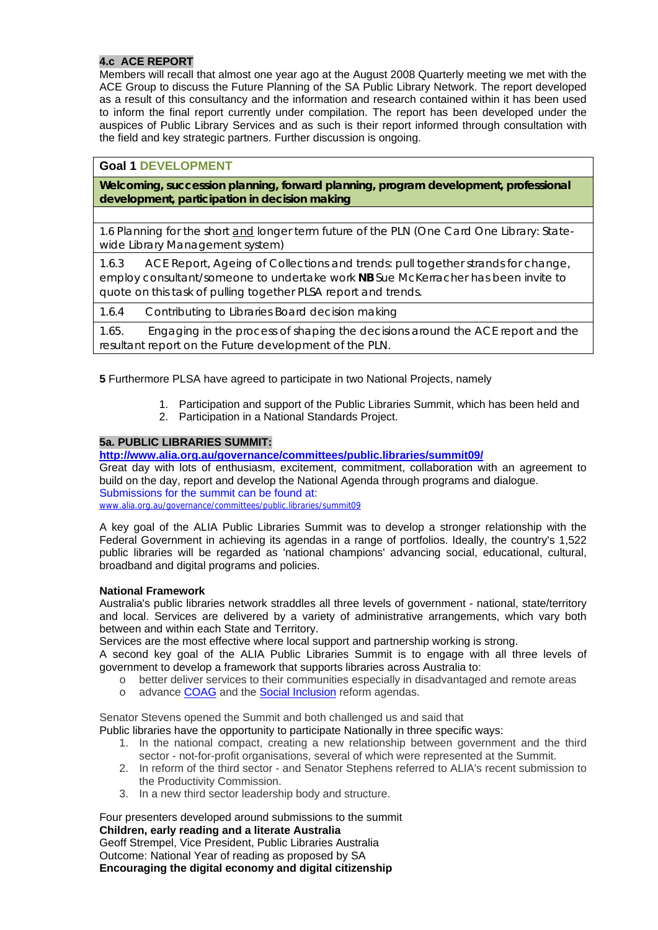### **4.c ACE REPORT**

Members will recall that almost one year ago at the August 2008 Quarterly meeting we met with the ACE Group to discuss the Future Planning of the SA Public Library Network. The report developed as a result of this consultancy and the information and research contained within it has been used to inform the final report currently under compilation. The report has been developed under the auspices of Public Library Services and as such is their report informed through consultation with the field and key strategic partners. Further discussion is ongoing.

# **Goal 1 DEVELOPMENT**

**Welcoming, succession planning, forward planning, program development, professional development, participation in decision making** 

1.6 Planning for the short and longer term future of the PLN (One Card One Library: Statewide Library Management system)

1.6.3 ACE Report, Ageing of Collections and trends: pull together strands for change, employ consultant/someone to undertake work *NB Sue McKerracher has been invite to quote on this task of pulling together PLSA report and trends.* 

1.6.4 Contributing to Libraries Board decision making

1.65. Engaging in the process of shaping the decisions around the ACE report and the resultant report on the Future development of the PLN.

### **5** Furthermore PLSA have agreed to participate in two National Projects, namely

- 1. Participation and support of the Public Libraries Summit, which has been held and
- 2. Participation in a National Standards Project.

### **5a. PUBLIC LIBRARIES SUMMIT:**

**http://www.alia.org.au/governance/committees/public.libraries/summit09/**

Great day with lots of enthusiasm, excitement, commitment, collaboration with an agreement to build on the day, report and develop the National Agenda through programs and dialogue. Submissions for the summit can be found at:

www.alia.org.au/governance/committees/public.libraries/summit09

A key goal of the ALIA Public Libraries Summit was to develop a stronger relationship with the Federal Government in achieving its agendas in a range of portfolios. Ideally, the country's 1,522 public libraries will be regarded as 'national champions' advancing social, educational, cultural, broadband and digital programs and policies.

### **National Framework**

Australia's public libraries network straddles all three levels of government - national, state/territory and local. Services are delivered by a variety of administrative arrangements, which vary both between and within each State and Territory.

Services are the most effective where local support and partnership working is strong.

A second key goal of the ALIA Public Libraries Summit is to engage with all three levels of government to develop a framework that supports libraries across Australia to:

- o better deliver services to their communities especially in disadvantaged and remote areas
- o advance COAG and the Social Inclusion reform agendas.

Senator Stevens opened the Summit and both challenged us and said that

- Public libraries have the opportunity to participate Nationally in three specific ways:
	- 1. In the national compact, creating a new relationship between government and the third sector - not-for-profit organisations, several of which were represented at the Summit.
	- 2. In reform of the third sector and Senator Stephens referred to ALIA's recent submission to the Productivity Commission.
	- 3. In a new third sector leadership body and structure.

Four presenters developed around submissions to the summit **Children, early reading and a literate Australia**  Geoff Strempel, Vice President, Public Libraries Australia Outcome: National Year of reading as proposed by SA **Encouraging the digital economy and digital citizenship**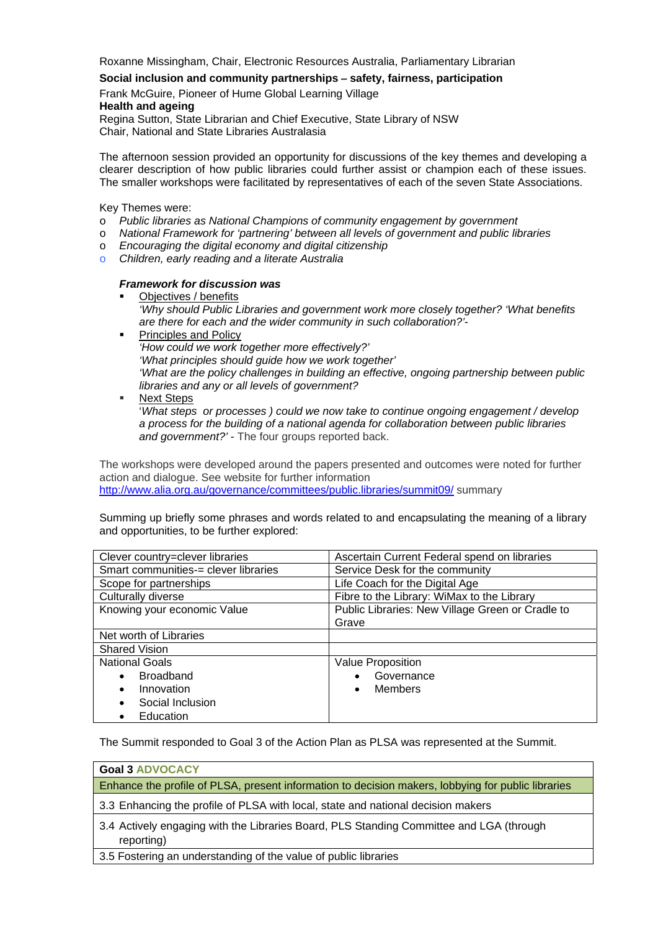Roxanne Missingham, Chair, Electronic Resources Australia, Parliamentary Librarian

# **Social inclusion and community partnerships** – **safety, fairness, participation**

# Frank McGuire, Pioneer of Hume Global Learning Village **Health and ageing**

Regina Sutton, State Librarian and Chief Executive, State Library of NSW Chair, National and State Libraries Australasia

The afternoon session provided an opportunity for discussions of the key themes and developing a clearer description of how public libraries could further assist or champion each of these issues. The smaller workshops were facilitated by representatives of each of the seven State Associations.

Key Themes were:

- o *Public libraries as National Champions of community engagement by government*
- o *National Framework for 'partnering' between all levels of government and public libraries*
- o *Encouraging the digital economy and digital citizenship*
- o *Children, early reading and a literate Australia*

#### *Framework for discussion was*

- Objectives / benefits *'Why should Public Libraries and government work more closely together? 'What benefits are there for each and the wider community in such collaboration?'*-
- Principles and Policy *'How could we work together more effectively?' 'What principles should guide how we work together' 'What are the policy challenges in building an effective, ongoing partnership between public libraries and any or all levels of government?*
- Next Steps

'*What steps or processes ) could we now take to continue ongoing engagement / develop a process for the building of a national agenda for collaboration between public libraries and government?'* - The four groups reported back.

The workshops were developed around the papers presented and outcomes were noted for further action and dialogue. See website for further information http://www.alia.org.au/governance/committees/public.libraries/summit09/ summary

Summing up briefly some phrases and words related to and encapsulating the meaning of a library and opportunities, to be further explored:

| Clever country=clever libraries      | Ascertain Current Federal spend on libraries     |  |
|--------------------------------------|--------------------------------------------------|--|
| Smart communities-= clever libraries | Service Desk for the community                   |  |
| Scope for partnerships               | Life Coach for the Digital Age                   |  |
| Culturally diverse                   | Fibre to the Library: WiMax to the Library       |  |
| Knowing your economic Value          | Public Libraries: New Village Green or Cradle to |  |
|                                      | Grave                                            |  |
| Net worth of Libraries               |                                                  |  |
| <b>Shared Vision</b>                 |                                                  |  |
| <b>National Goals</b>                | <b>Value Proposition</b>                         |  |
| <b>Broadband</b>                     | Governance                                       |  |
| Innovation<br>$\bullet$              | Members                                          |  |
| Social Inclusion<br>$\bullet$        |                                                  |  |
| Education                            |                                                  |  |

The Summit responded to Goal 3 of the Action Plan as PLSA was represented at the Summit.

#### **Goal 3 ADVOCACY**

Enhance the profile of PLSA, present information to decision makers, lobbying for public libraries

3.3 Enhancing the profile of PLSA with local, state and national decision makers

3.4 Actively engaging with the Libraries Board, PLS Standing Committee and LGA (through reporting)

3.5 Fostering an understanding of the value of public libraries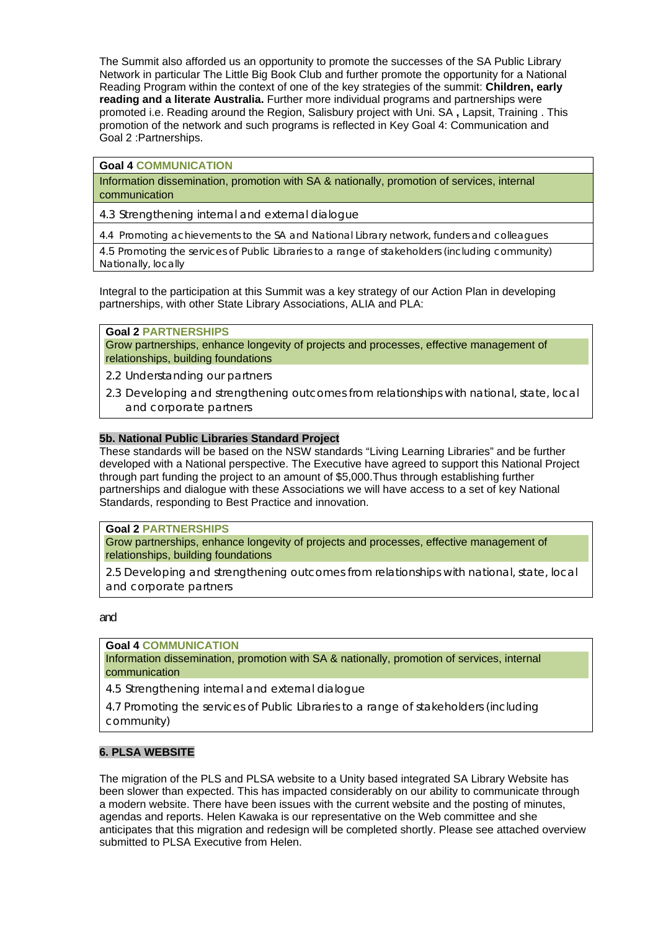The Summit also afforded us an opportunity to promote the successes of the SA Public Library Network in particular The Little Big Book Club and further promote the opportunity for a National Reading Program within the context of one of the key strategies of the summit: **Children, early reading and a literate Australia.** Further more individual programs and partnerships were promoted i.e. Reading around the Region, Salisbury project with Uni. SA **,** Lapsit, Training . This promotion of the network and such programs is reflected in Key Goal 4: Communication and Goal 2 :Partnerships.

#### **Goal 4 COMMUNICATION**

Information dissemination, promotion with SA & nationally, promotion of services, internal communication

4.3 Strengthening internal and external dialogue

4.4 Promoting achievements to the SA and National Library network, funders and colleagues

4.5 Promoting the services of Public Libraries to a range of stakeholders (including community) Nationally, locally

Integral to the participation at this Summit was a key strategy of our Action Plan in developing partnerships, with other State Library Associations, ALIA and PLA:

#### **Goal 2 PARTNERSHIPS**

Grow partnerships, enhance longevity of projects and processes, effective management of relationships, building foundations

- 2.2 Understanding our partners
- 2.3 Developing and strengthening outcomes from relationships with national, state, local and corporate partners

#### **5b. National Public Libraries Standard Project**

These standards will be based on the NSW standards "Living Learning Libraries" and be further developed with a National perspective. The Executive have agreed to support this National Project through part funding the project to an amount of \$5,000.Thus through establishing further partnerships and dialogue with these Associations we will have access to a set of key National Standards, responding to Best Practice and innovation.

#### **Goal 2 PARTNERSHIPS**

Grow partnerships, enhance longevity of projects and processes, effective management of relationships, building foundations

2.5 Developing and strengthening outcomes from relationships with national, state, local and corporate partners

and

**Goal 4 COMMUNICATION**

Information dissemination, promotion with SA & nationally, promotion of services, internal communication

4.5 Strengthening internal and external dialogue

4.7 Promoting the services of Public Libraries to a range of stakeholders (including community)

# **6. PLSA WEBSITE**

The migration of the PLS and PLSA website to a Unity based integrated SA Library Website has been slower than expected. This has impacted considerably on our ability to communicate through a modern website. There have been issues with the current website and the posting of minutes, agendas and reports. Helen Kawaka is our representative on the Web committee and she anticipates that this migration and redesign will be completed shortly. Please see attached overview submitted to PLSA Executive from Helen.